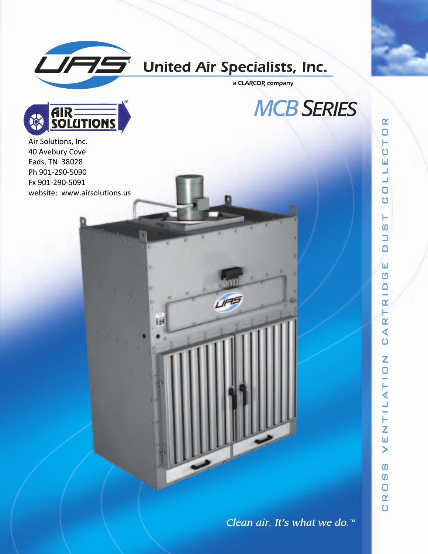

# **United Air Specialists, Inc.**

**UFF** 

ĿН

a CLARCOR company

*MCB SERIES*



Air Solutions, Inc. 40 Avebury Cove Eads, TN 38028 Ph 901 ‐290 ‐5090 Fx 901 ‐290 ‐5091 website: www.airsolutions.us  $\mathbf{r}$  $\Box$ н υ Ш ┙

Clean air. It's what we do.<sup>14</sup>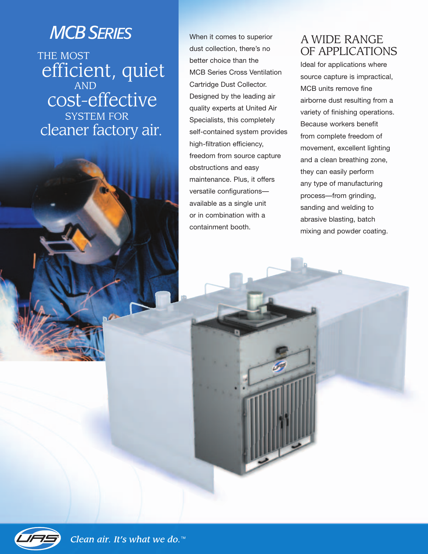# *MCBSERIES*

THE MOST efficient, quiet AND cost-effective SYSTEM FOR cleaner factory air.

When it comes to superior dust collection, there's no better choice than the MCB Series Cross Ventilation Cartridge Dust Collector. Designed by the leading air quality experts at United Air Specialists, this completely self-contained system provides high-filtration efficiency, freedom from source capture obstructions and easy maintenance. Plus, it offers versatile configurations available as a single unit or in combination with a containment booth.

## A WIDE RANGE OF APPLICATIONS

Ideal for applications where source capture is impractical, MCB units remove fine airborne dust resulting from a variety of finishing operations. Because workers benefit from complete freedom of movement, excellent lighting and a clean breathing zone, they can easily perform any type of manufacturing process—from grinding, sanding and welding to abrasive blasting, batch mixing and powder coating.

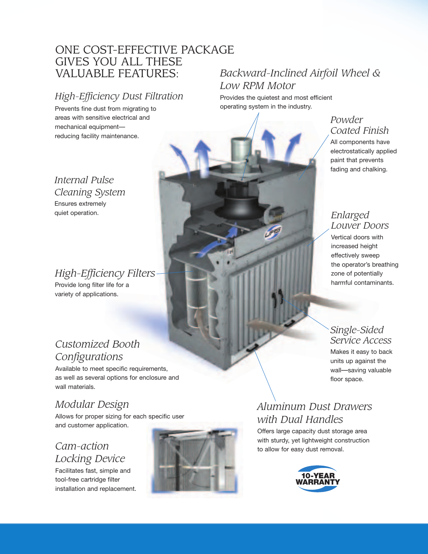## ONE COST-EFFECTIVE PACKAGE GIVES YOU ALL THESE VALUABLE FEATURES:

## *High-Efficiency Dust Filtration*

Prevents fine dust from migrating to areas with sensitive electrical and mechanical equipment reducing facility maintenance.

*Internal Pulse Cleaning System* Ensures extremely quiet operation.

## *High-Efficiency Filters*

Provide long filter life for a variety of applications.

## *Customized Booth Configurations*

Available to meet specific requirements, as well as several options for enclosure and wall materials.

# *Modular Design*

Allows for proper sizing for each specific user and customer application.

### *Cam-action Locking Device*

Facilitates fast, simple and tool-free cartridge filter installation and replacement.



# *Backward-Inclined Airfoil Wheel & Low RPM Motor*

Provides the quietest and most efficient operating system in the industry.

#### *Powder Coated Finish*

All components have electrostatically applied paint that prevents fading and chalking.

#### *Enlarged Louver Doors*

Vertical doors with increased height effectively sweep the operator's breathing zone of potentially harmful contaminants.

#### *Single-Sided Service Access*

Makes it easy to back units up against the wall—saving valuable floor space.

# *Aluminum Dust Drawers with Dual Handles*

Offers large capacity dust storage area with sturdy, yet lightweight construction to allow for easy dust removal.

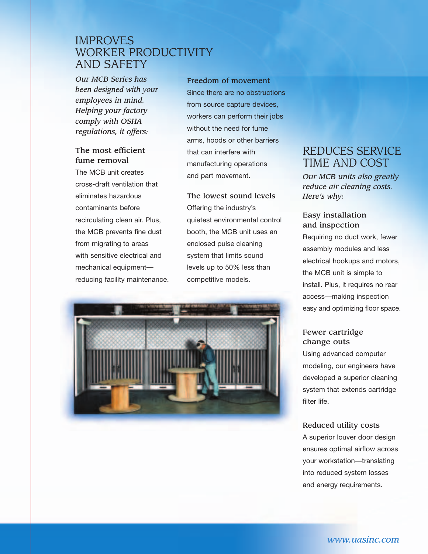### IMPROVES WORKER PRODUCTIVITY AND SAFETY

*Our MCB Series has been designed with your employees in mind. Helping your factory comply with OSHA regulations, it offers:*

#### **The most efficient fume removal**

The MCB unit creates cross-draft ventilation that eliminates hazardous contaminants before recirculating clean air. Plus, the MCB prevents fine dust from migrating to areas with sensitive electrical and mechanical equipment reducing facility maintenance. **Freedom of movement** Since there are no obstructions from source capture devices, workers can perform their jobs without the need for fume arms, hoods or other barriers that can interfere with manufacturing operations and part movement.

**The lowest sound levels** Offering the industry's quietest environmental control booth, the MCB unit uses an enclosed pulse cleaning system that limits sound levels up to 50% less than competitive models.



## REDUCES SERVICE TIME AND COST

*Our MCB units also greatly reduce air cleaning costs. Here's why:*

#### **Easy installation and inspection**

Requiring no duct work, fewer assembly modules and less electrical hookups and motors, the MCB unit is simple to install. Plus, it requires no rear access—making inspection easy and optimizing floor space.

#### **Fewer cartridge change outs**

Using advanced computer modeling, our engineers have developed a superior cleaning system that extends cartridge filter life.

#### **Reduced utility costs**

A superior louver door design ensures optimal airflow across your workstation—translating into reduced system losses and energy requirements.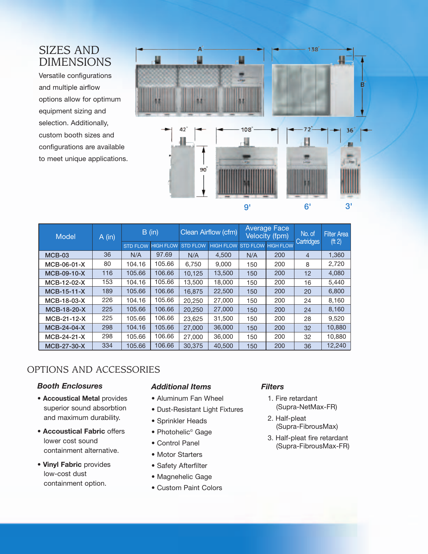### SIZES AND DIMENSIONS

Versatile configurations and multiple airflow options allow for optimum equipment sizing and selection. Additionally, custom booth sizes and configurations are available to meet unique applications.



| Model         | A(in) | B (in)          |                  | Clean Airflow (cfm) |                  | <b>Average Face</b><br><b>Velocity</b> (fpm) |                  | No. of<br>Cartridges | <b>Filter Area</b> |
|---------------|-------|-----------------|------------------|---------------------|------------------|----------------------------------------------|------------------|----------------------|--------------------|
|               |       | <b>STD FLOW</b> | <b>HIGH FLOW</b> | <b>STD FLOW</b>     | <b>HIGH FLOW</b> | <b>STD FLOW</b>                              | <b>HIGH FLOW</b> |                      | ( <i>ft</i> 2)     |
| $MCB-03$      | 36    | N/A             | 97.69            | N/A                 | 4.500            | N/A                                          | 200              | $\overline{4}$       | 1,360              |
| MCB-06-01-X   | 80    | 104.16          | 105.66           | 6.750               | 9.000            | 150                                          | 200              | 8                    | 2,720              |
| MCB-09-10-X   | 116   | 105.66          | 106.66           | 10.125              | 13,500           | 150                                          | 200              | 12                   | 4,080              |
| MCB-12-02-X   | 153   | 104.16          | 105.66           | 13,500              | 18,000           | 150                                          | 200              | 16                   | 5,440              |
| $MCB-15-11-X$ | 189   | 105.66          | 106.66           | 16.875              | 22,500           | 150                                          | 200              | 20                   | 6,800              |
| MCB-18-03-X   | 226   | 104.16          | 105.66           | 20.250              | 27,000           | 150                                          | 200              | 24                   | 8,160              |
| MCB-18-20-X   | 225   | 105.66          | 106.66           | 20,250              | 27,000           | 150                                          | 200              | 24                   | 8,160              |
| $MCB-21-12-X$ | 225   | 105.66          | 106.66           | 23.625              | 31,500           | 150                                          | 200              | 28                   | 9.520              |
| MCB-24-04-X   | 298   | 104.16          | 105.66           | 27,000              | 36,000           | 150                                          | 200              | 32                   | 10,880             |
| MCB-24-21-X   | 298   | 105.66          | 106.66           | 27,000              | 36,000           | 150                                          | 200              | 32                   | 10,880             |
| MCB-27-30-X   | 334   | 105.66          | 106.66           | 30,375              | 40,500           | 150                                          | 200              | 36                   | 12,240             |

#### OPTIONS AND ACCESSORIES

#### *Booth Enclosures*

- **Accoustical Metal** provides superior sound absorbtion and maximum durability.
- **Accoustical Fabric** offers lower cost sound containment alternative.
- **Vinyl Fabric** provides low-cost dust containment option.

#### *Additional Items*

- Aluminum Fan Wheel
- Dust-Resistant Light Fixtures
- Sprinkler Heads
- Photohelic<sup>®</sup> Gage
- Control Panel
- Motor Starters
- Safety Afterfilter
- Magnehelic Gage
- Custom Paint Colors

#### *Filters*

- 1. Fire retardant (Supra-NetMax-FR)
- 2. Half-pleat (Supra-FibrousMax)
- 3. Half-pleat fire retardant (Supra-FibrousMax-FR)